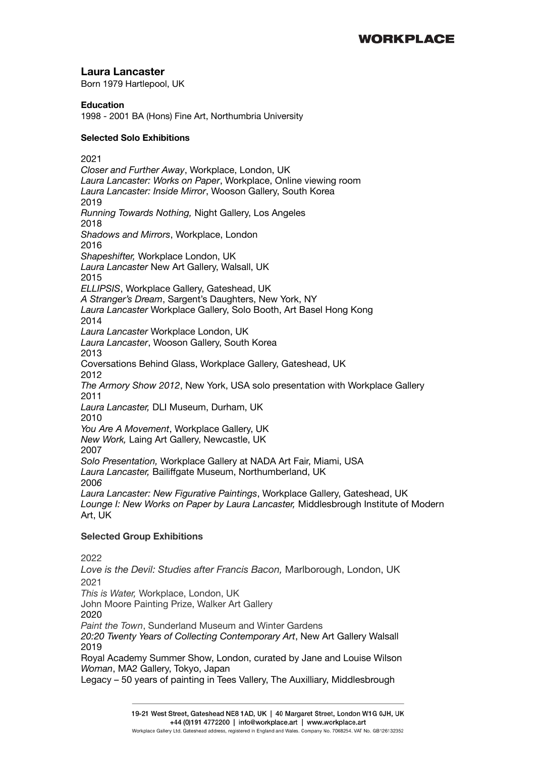# **Laura Lancaster**

Born 1979 Hartlepool, UK

### **Education**

1998 - 2001 BA (Hons) Fine Art, Northumbria University

### **Selected Solo Exhibitions**

2021 *Closer and Further Away*, Workplace, London, UK *Laura Lancaster: Works on Paper*, Workplace, Online viewing room *Laura Lancaster: Inside Mirror*, Wooson Gallery, South Korea 2019 *Running Towards Nothing,* Night Gallery, Los Angeles 2018 *Shadows and Mirrors*, Workplace, London 2016 *Shapeshifter,* Workplace London, UK *Laura Lancaster* New Art Gallery, Walsall, UK 2015 *ELLIPSIS*, Workplace Gallery, Gateshead, UK *A Stranger's Dream*, Sargent's Daughters, New York, NY *Laura Lancaster* Workplace Gallery, Solo Booth, Art Basel Hong Kong 2014 *Laura Lancaster* Workplace London, UK *Laura Lancaster*, Wooson Gallery, South Korea 2013 Coversations Behind Glass, Workplace Gallery, Gateshead, UK 2012 *The Armory Show 2012*, New York, USA solo presentation with Workplace Gallery 2011 *Laura Lancaster,* DLI Museum, Durham, UK 2010 *You Are A Movement*, Workplace Gallery, UK *New Work,* Laing Art Gallery, Newcastle, UK 2007 *Solo Presentation,* Workplace Gallery at NADA Art Fair, Miami, USA *Laura Lancaster,* Bailiffgate Museum, Northumberland, UK 200*6 Laura Lancaster: New Figurative Paintings*, Workplace Gallery, Gateshead, UK *Lounge I: New Works on Paper by Laura Lancaster,* Middlesbrough Institute of Modern Art, UK

## **Selected Group Exhibitions**

2022

*Love is the Devil: Studies after Francis Bacon,* Marlborough, London, UK 2021 *This is Water,* Workplace, London, UK John Moore Painting Prize, Walker Art Gallery 2020 *Paint the Town*, Sunderland Museum and Winter Gardens *20:20 Twenty Years of Collecting Contemporary Art*, New Art Gallery Walsall 2019 Royal Academy Summer Show, London, curated by Jane and Louise Wilson *Woman*, MA2 Gallery, Tokyo, Japan Legacy – 50 years of painting in Tees Vallery, The Auxilliary, Middlesbrough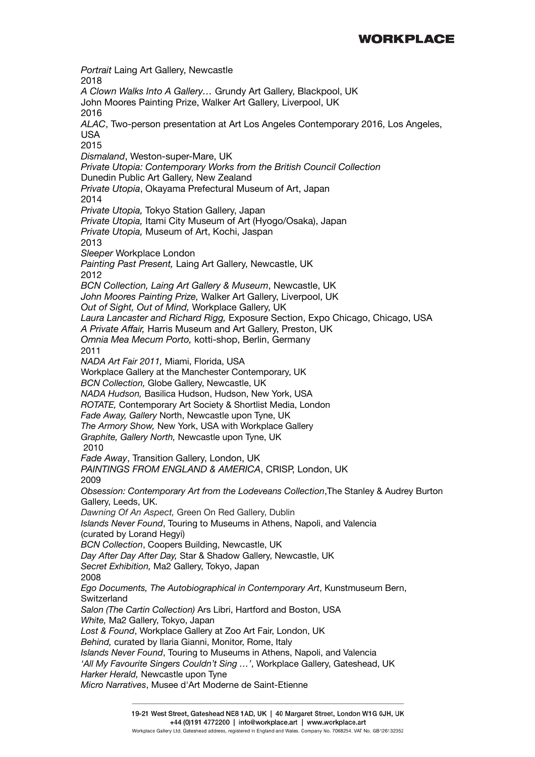*Portrait* Laing Art Gallery, Newcastle 2018 *A Clown Walks Into A Gallery…* Grundy Art Gallery, Blackpool, UK John Moores Painting Prize, Walker Art Gallery, Liverpool, UK 2016 *ALAC*, Two-person presentation at Art Los Angeles Contemporary 2016, Los Angeles, USA 2015 *Dismaland*, Weston-super-Mare, UK *Private Utopia: Contemporary Works from the British Council Collection* Dunedin Public Art Gallery, New Zealand *Private Utopia*, Okayama Prefectural Museum of Art, Japan 2014 *Private Utopia,* Tokyo Station Gallery, Japan *Private Utopia,* Itami City Museum of Art (Hyogo/Osaka), Japan *Private Utopia,* Museum of Art, Kochi, Jaspan 2013 *Sleeper* Workplace London *Painting Past Present,* Laing Art Gallery, Newcastle, UK 2012 *BCN Collection, Laing Art Gallery & Museum*, Newcastle, UK *John Moores Painting Prize,* Walker Art Gallery, Liverpool, UK *Out of Sight, Out of Mind,* Workplace Gallery, UK *Laura Lancaster and Richard Rigg,* Exposure Section, Expo Chicago, Chicago, USA *A Private Affair,* Harris Museum and Art Gallery, Preston, UK *Omnia Mea Mecum Porto,* kotti-shop, Berlin, Germany 2011 *NADA Art Fair 2011,* Miami, Florida, USA Workplace Gallery at the Manchester Contemporary, UK *BCN Collection,* Globe Gallery, Newcastle, UK *NADA Hudson,* Basilica Hudson, Hudson, New York, USA *ROTATE,* Contemporary Art Society & Shortlist Media, London *Fade Away, Gallery* North, Newcastle upon Tyne, UK *The Armory Show,* New York, USA with Workplace Gallery *Graphite, Gallery North,* Newcastle upon Tyne, UK 2010 *Fade Away*, Transition Gallery, London, UK *PAINTINGS FROM ENGLAND & AMERICA*, CRISP, London, UK 2009 *Obsession: Contemporary Art from the Lodeveans Collection*,The Stanley & Audrey Burton Gallery, Leeds, UK. *Dawning Of An Aspect,* Green On Red Gallery, Dublin *Islands Never Found*, Touring to Museums in Athens, Napoli, and Valencia (curated by Lorand Hegyi) *BCN Collection*, Coopers Building, Newcastle, UK *Day After Day After Day,* Star & Shadow Gallery, Newcastle, UK *Secret Exhibition,* Ma2 Gallery, Tokyo, Japan 2008 *Ego Documents, The Autobiographical in Contemporary Art*, Kunstmuseum Bern, **Switzerland** *Salon (The Cartin Collection)* Ars Libri, Hartford and Boston, USA *White,* Ma2 Gallery, Tokyo, Japan *Lost & Found*, Workplace Gallery at Zoo Art Fair, London, UK *Behind,* curated by Ilaria Gianni, Monitor, Rome, Italy *Islands Never Found*, Touring to Museums in Athens, Napoli, and Valencia *'All My Favourite Singers Couldn't Sing …'*, Workplace Gallery, Gateshead, UK *Harker Herald,* Newcastle upon Tyne *Micro Narratives*, Musee d'Art Moderne de Saint-Etienne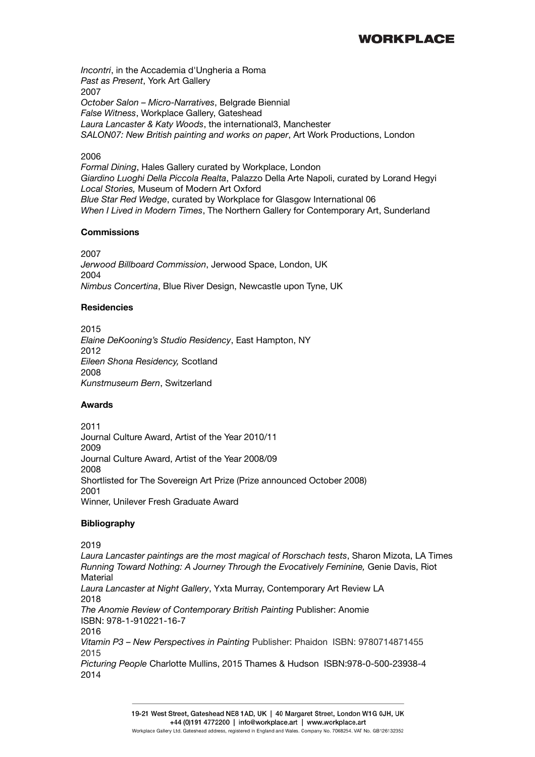*Incontri*, in the Accademia d'Ungheria a Roma *Past as Present*, York Art Gallery 2007 *October Salon – Micro-Narratives*, Belgrade Biennial *False Witness*, Workplace Gallery, Gateshead *Laura Lancaster & Katy Woods*, the international3, Manchester *SALON07: New British painting and works on paper*, Art Work Productions, London

#### 2006

*Formal Dining*, Hales Gallery curated by Workplace, London *Giardino Luoghi Della Piccola Realta*, Palazzo Della Arte Napoli, curated by Lorand Hegyi *Local Stories,* Museum of Modern Art Oxford *Blue Star Red Wedge*, curated by Workplace for Glasgow International 06 *When I Lived in Modern Times*, The Northern Gallery for Contemporary Art, Sunderland

#### **Commissions**

2007 *Jerwood Billboard Commission*, Jerwood Space, London, UK 2004 *Nimbus Concertina*, Blue River Design, Newcastle upon Tyne, UK

#### **Residencies**

2015 *Elaine DeKooning's Studio Residency*, East Hampton, NY 2012 *Eileen Shona Residency,* Scotland 2008 *Kunstmuseum Bern*, Switzerland

#### **Awards**

2011 Journal Culture Award, Artist of the Year 2010/11 2009 Journal Culture Award, Artist of the Year 2008/09 2008 Shortlisted for The Sovereign Art Prize (Prize announced October 2008) 2001 Winner, Unilever Fresh Graduate Award

#### **Bibliography**

#### 2019

*Laura Lancaster paintings are the most magical of Rorschach tests*, Sharon Mizota, LA Times *Running Toward Nothing: A Journey Through the Evocatively Feminine,* Genie Davis, Riot Material *Laura Lancaster at Night Gallery*, Yxta Murray, Contemporary Art Review LA 2018 *The Anomie Review of Contemporary British Painting* Publisher: Anomie ISBN: 978-1-910221-16-7 2016 *Vitamin P3 – New Perspectives in Painting* Publisher: Phaidon ISBN: 9780714871455 2015 *Picturing People* Charlotte Mullins, 2015 Thames & Hudson ISBN:978-0-500-23938-4 2014